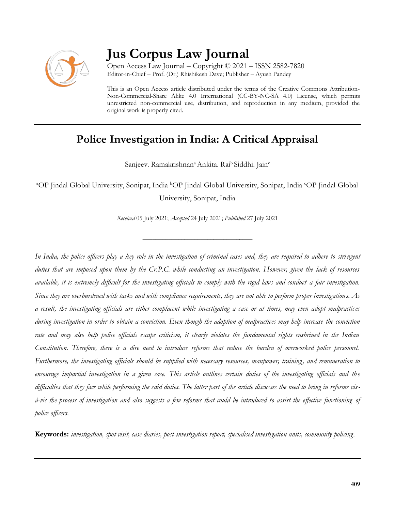

# **Jus Corpus Law Journal**

Open Access Law Journal – Copyright © 2021 – ISSN 2582-7820 Editor-in-Chief – Prof. (Dr.) Rhishikesh Dave; Publisher – Ayush Pandey

This is an Open Access article distributed under the terms of the Creative Commons Attribution-Non-Commercial-Share Alike 4.0 International (CC-BY-NC-SA 4.0) License, which permits unrestricted non-commercial use, distribution, and reproduction in any medium, provided the original work is properly cited.

# **Police Investigation in India: A Critical Appraisal**

Sanjeev. Ramakrishnan<sup>a</sup> Ankita. Rai<sup>b</sup> Siddhi. Jain<sup>c</sup>

<sup>a</sup>OP Jindal Global University, Sonipat, India <sup>b</sup>OP Jindal Global University, Sonipat, India <sup>c</sup>OP Jindal Global University, Sonipat, India

*Received* 05 July 2021; *Accepted* 24 July 2021; *Published* 27 July 2021

\_\_\_\_\_\_\_\_\_\_\_\_\_\_\_\_\_\_\_\_\_\_\_\_\_\_\_\_\_\_\_\_\_\_

*In India, the police officers play a key role in the investigation of criminal cases and, they are required to adhere to stri ngent duties that are imposed upon them by the Cr.P.C. while conducting an investigation. However, given the lack of resources available, it is extremely difficult for the investigating officials to comply with the rigid laws and conduct a fair investigation. Since they are overburdened with tasks and with compliance requirements, they are not able to perform proper investigations. As a result, the investigating officials are either complacent while investigating a case or at times, may even adopt malpractices during investigation in order to obtain a conviction. Even though the adoption of malpractices may help increase the conviction rate and may also help police officials escape criticism, it clearly violates the fundamental rights enshrined in the Indian Constitution. Therefore, there is a dire need to introduce reforms that reduce the burden of overworked police personnel. Furthermore, the investigating officials should be supplied with necessary resources, manpower, training, and remuneration to*  encourage impartial investigation in a given case. This article outlines certain duties of the investigating officials and the *difficulties that they face while performing the said duties. The latter part of the article discusses the need to bring in reforms visà-vis the process of investigation and also suggests a few reforms that could be introduced to assist the effective functioning of police officers.* 

**Keywords:** *investigation, spot visit, case diaries, post-investigation report, specialised investigation units, community policing.*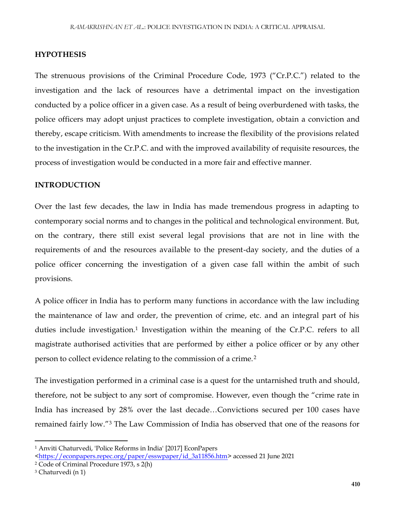## **HYPOTHESIS**

The strenuous provisions of the Criminal Procedure Code, 1973 ("Cr.P.C.") related to the investigation and the lack of resources have a detrimental impact on the investigation conducted by a police officer in a given case. As a result of being overburdened with tasks, the police officers may adopt unjust practices to complete investigation, obtain a conviction and thereby, escape criticism. With amendments to increase the flexibility of the provisions related to the investigation in the Cr.P.C. and with the improved availability of requisite resources, the process of investigation would be conducted in a more fair and effective manner.

#### **INTRODUCTION**

Over the last few decades, the law in India has made tremendous progress in adapting to contemporary social norms and to changes in the political and technological environment. But, on the contrary, there still exist several legal provisions that are not in line with the requirements of and the resources available to the present-day society, and the duties of a police officer concerning the investigation of a given case fall within the ambit of such provisions.

A police officer in India has to perform many functions in accordance with the law including the maintenance of law and order, the prevention of crime, etc. and an integral part of his duties include investigation.<sup>1</sup> Investigation within the meaning of the Cr.P.C. refers to all magistrate authorised activities that are performed by either a police officer or by any other person to collect evidence relating to the commission of a crime.<sup>2</sup>

The investigation performed in a criminal case is a quest for the untarnished truth and should, therefore, not be subject to any sort of compromise. However, even though the "crime rate in India has increased by 28% over the last decade…Convictions secured per 100 cases have remained fairly low."<sup>3</sup> The Law Commission of India has observed that one of the reasons for

<sup>1</sup> Anviti Chaturvedi, 'Police Reforms in India' [2017] EconPapers

[<sup>&</sup>lt;https://econpapers.repec.org/paper/esswpaper/id\\_3a11856.htm>](https://econpapers.repec.org/paper/esswpaper/id_3a11856.htm) accessed 21 June 2021

<sup>2</sup> Code of Criminal Procedure 1973, s 2(h)

<sup>3</sup> Chaturvedi (n 1)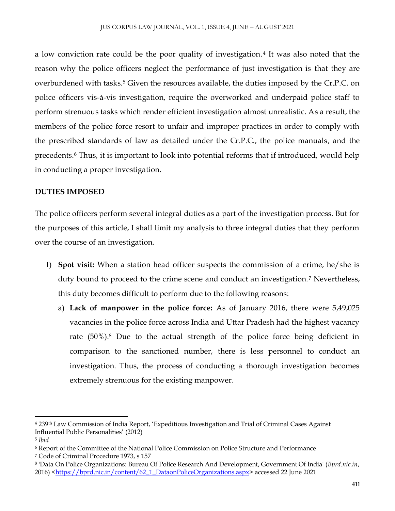a low conviction rate could be the poor quality of investigation.<sup>4</sup> It was also noted that the reason why the police officers neglect the performance of just investigation is that they are overburdened with tasks.<sup>5</sup> Given the resources available, the duties imposed by the Cr.P.C. on police officers vis-à-vis investigation, require the overworked and underpaid police staff to perform strenuous tasks which render efficient investigation almost unrealistic. As a result, the members of the police force resort to unfair and improper practices in order to comply with the prescribed standards of law as detailed under the Cr.P.C., the police manuals, and the precedents.<sup>6</sup> Thus, it is important to look into potential reforms that if introduced, would help in conducting a proper investigation.

# **DUTIES IMPOSED**

The police officers perform several integral duties as a part of the investigation process. But for the purposes of this article, I shall limit my analysis to three integral duties that they perform over the course of an investigation.

- I) **Spot visit:** When a station head officer suspects the commission of a crime, he/she is duty bound to proceed to the crime scene and conduct an investigation.<sup>7</sup> Nevertheless, this duty becomes difficult to perform due to the following reasons:
	- a) **Lack of manpower in the police force:** As of January 2016, there were 5,49,025 vacancies in the police force across India and Uttar Pradesh had the highest vacancy rate (50%).<sup>8</sup> Due to the actual strength of the police force being deficient in comparison to the sanctioned number, there is less personnel to conduct an investigation. Thus, the process of conducting a thorough investigation becomes extremely strenuous for the existing manpower.

<sup>4</sup> 239th Law Commission of India Report, 'Expeditious Investigation and Trial of Criminal Cases Against Influential Public Personalities' (2012)

<sup>5</sup> *Ibid*

<sup>6</sup> Report of the Committee of the National Police Commission on Police Structure and Performance

<sup>7</sup> Code of Criminal Procedure 1973, s 157

<sup>8</sup> 'Data On Police Organizations: Bureau Of Police Research And Development, Government Of India' (*Bprd.nic.in*, 2016) [<https://bprd.nic.in/content/62\\_1\\_DataonPoliceOrganizations.aspx>](https://bprd.nic.in/content/62_1_DataonPoliceOrganizations.aspx) accessed 22 June 2021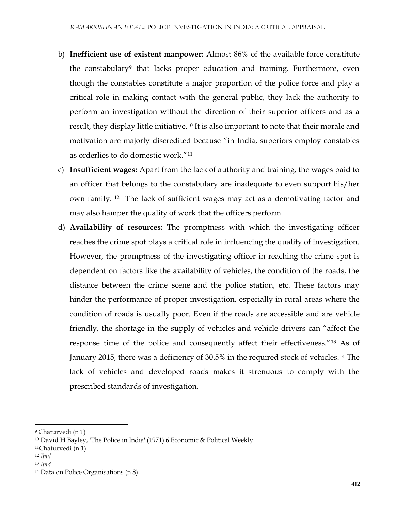- b) **Inefficient use of existent manpower:** Almost 86% of the available force constitute the constabulary<sup>9</sup> that lacks proper education and training. Furthermore, even though the constables constitute a major proportion of the police force and play a critical role in making contact with the general public, they lack the authority to perform an investigation without the direction of their superior officers and as a result, they display little initiative.<sup>10</sup> It is also important to note that their morale and motivation are majorly discredited because "in India, superiors employ constables as orderlies to do domestic work."<sup>11</sup>
- c) **Insufficient wages:** Apart from the lack of authority and training, the wages paid to an officer that belongs to the constabulary are inadequate to even support his/her own family. <sup>12</sup> The lack of sufficient wages may act as a demotivating factor and may also hamper the quality of work that the officers perform.
- d) **Availability of resources:** The promptness with which the investigating officer reaches the crime spot plays a critical role in influencing the quality of investigation. However, the promptness of the investigating officer in reaching the crime spot is dependent on factors like the availability of vehicles, the condition of the roads, the distance between the crime scene and the police station, etc. These factors may hinder the performance of proper investigation, especially in rural areas where the condition of roads is usually poor. Even if the roads are accessible and are vehicle friendly, the shortage in the supply of vehicles and vehicle drivers can "affect the response time of the police and consequently affect their effectiveness."<sup>13</sup> As of January 2015, there was a deficiency of 30.5% in the required stock of vehicles.<sup>14</sup> The lack of vehicles and developed roads makes it strenuous to comply with the prescribed standards of investigation.

<sup>12</sup> *Ibid*

 $\overline{\phantom{a}}$ 

<sup>9</sup> Chaturvedi (n 1)

<sup>10</sup> David H Bayley, 'The Police in India' (1971) 6 Economic & Political Weekly

<sup>11</sup>Chaturvedi (n 1)

<sup>13</sup> *Ibid*

<sup>14</sup> Data on Police Organisations (n 8)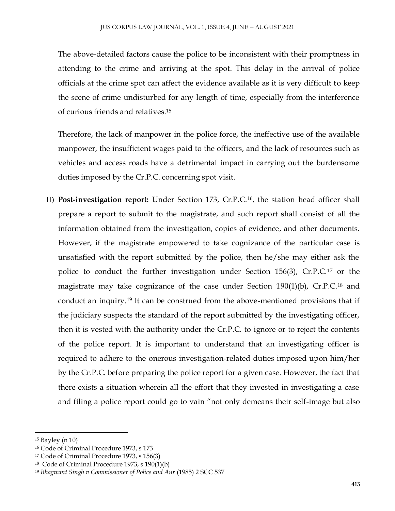The above-detailed factors cause the police to be inconsistent with their promptness in attending to the crime and arriving at the spot. This delay in the arrival of police officials at the crime spot can affect the evidence available as it is very difficult to keep the scene of crime undisturbed for any length of time, especially from the interference of curious friends and relatives.<sup>15</sup>

Therefore, the lack of manpower in the police force, the ineffective use of the available manpower, the insufficient wages paid to the officers, and the lack of resources such as vehicles and access roads have a detrimental impact in carrying out the burdensome duties imposed by the Cr.P.C. concerning spot visit.

II) **Post-investigation report:** Under Section 173, Cr.P.C.16, the station head officer shall prepare a report to submit to the magistrate, and such report shall consist of all the information obtained from the investigation, copies of evidence, and other documents. However, if the magistrate empowered to take cognizance of the particular case is unsatisfied with the report submitted by the police, then he/she may either ask the police to conduct the further investigation under Section 156(3), Cr.P.C.<sup>17</sup> or the magistrate may take cognizance of the case under Section 190(1)(b), Cr.P.C.<sup>18</sup> and conduct an inquiry.<sup>19</sup> It can be construed from the above-mentioned provisions that if the judiciary suspects the standard of the report submitted by the investigating officer, then it is vested with the authority under the Cr.P.C. to ignore or to reject the contents of the police report. It is important to understand that an investigating officer is required to adhere to the onerous investigation-related duties imposed upon him/her by the Cr.P.C. before preparing the police report for a given case. However, the fact that there exists a situation wherein all the effort that they invested in investigating a case and filing a police report could go to vain "not only demeans their self-image but also

<sup>15</sup> Bayley (n 10)

<sup>16</sup> Code of Criminal Procedure 1973, s 173

<sup>17</sup> Code of Criminal Procedure 1973, s 156(3)

<sup>18</sup> Code of Criminal Procedure 1973, s 190(1)(b)

<sup>19</sup> *Bhagwant Singh v Commissioner of Police and Anr* (1985) 2 SCC 537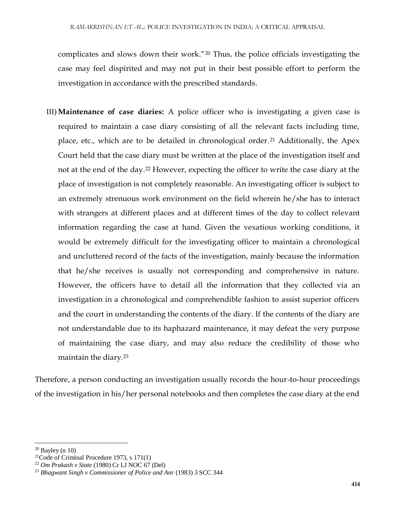complicates and slows down their work."<sup>20</sup> Thus, the police officials investigating the case may feel dispirited and may not put in their best possible effort to perform the investigation in accordance with the prescribed standards.

III) **Maintenance of case diaries:** A police officer who is investigating a given case is required to maintain a case diary consisting of all the relevant facts including time, place, etc., which are to be detailed in chronological order.<sup>21</sup> Additionally, the Apex Court held that the case diary must be written at the place of the investigation itself and not at the end of the day.<sup>22</sup> However, expecting the officer to write the case diary at the place of investigation is not completely reasonable. An investigating officer is subject to an extremely strenuous work environment on the field wherein he/she has to interact with strangers at different places and at different times of the day to collect relevant information regarding the case at hand. Given the vexatious working conditions, it would be extremely difficult for the investigating officer to maintain a chronological and uncluttered record of the facts of the investigation, mainly because the information that he/she receives is usually not corresponding and comprehensive in nature. However, the officers have to detail all the information that they collected via an investigation in a chronological and comprehendible fashion to assist superior officers and the court in understanding the contents of the diary. If the contents of the diary are not understandable due to its haphazard maintenance, it may defeat the very purpose of maintaining the case diary, and may also reduce the credibility of those who maintain the diary.<sup>23</sup>

Therefore, a person conducting an investigation usually records the hour-to-hour proceedings of the investigation in his/her personal notebooks and then completes the case diary at the end

l  $20$  Bayley (n 10)

<sup>&</sup>lt;sup>21</sup>Code of Criminal Procedure 1973, s  $171(1)$ 

<sup>22</sup> *Om Prakash v State* (1980) Cr LJ NOC 67 (Del)

<sup>23</sup> *Bhagwant Singh v Commissioner of Police and Anr* (1983) 3 SCC 344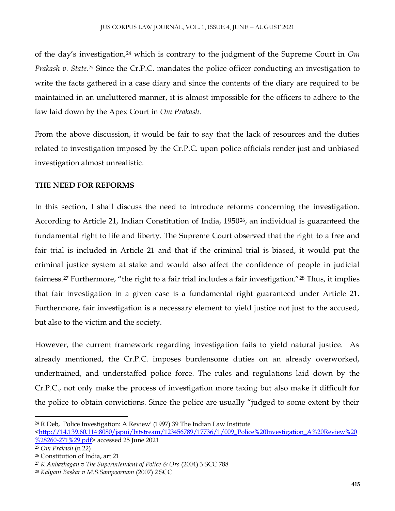of the day's investigation,<sup>24</sup> which is contrary to the judgment of the Supreme Court in *Om Prakash v. State.<sup>25</sup>* Since the Cr.P.C. mandates the police officer conducting an investigation to write the facts gathered in a case diary and since the contents of the diary are required to be maintained in an uncluttered manner, it is almost impossible for the officers to adhere to the law laid down by the Apex Court in *Om Prakash*.

From the above discussion, it would be fair to say that the lack of resources and the duties related to investigation imposed by the Cr.P.C. upon police officials render just and unbiased investigation almost unrealistic.

# **THE NEED FOR REFORMS**

In this section, I shall discuss the need to introduce reforms concerning the investigation. According to Article 21, Indian Constitution of India, 1950<sup>26</sup>, an individual is guaranteed the fundamental right to life and liberty. The Supreme Court observed that the right to a free and fair trial is included in Article 21 and that if the criminal trial is biased, it would put the criminal justice system at stake and would also affect the confidence of people in judicial fairness.<sup>27</sup> Furthermore, "the right to a fair trial includes a fair investigation."<sup>28</sup> Thus, it implies that fair investigation in a given case is a fundamental right guaranteed under Article 21. Furthermore, fair investigation is a necessary element to yield justice not just to the accused, but also to the victim and the society.

However, the current framework regarding investigation fails to yield natural justice. As already mentioned, the Cr.P.C. imposes burdensome duties on an already overworked, undertrained, and understaffed police force. The rules and regulations laid down by the Cr.P.C., not only make the process of investigation more taxing but also make it difficult for the police to obtain convictions. Since the police are usually "judged to some extent by their

 $\overline{a}$ <sup>24</sup> R Deb, 'Police Investigation: A Review' (1997) 39 The Indian Law Institute

[<sup>&</sup>lt;http://14.139.60.114:8080/jspui/bitstream/123456789/17736/1/009\\_Police%20Investigation\\_A%20Review%20](http://14.139.60.114:8080/jspui/bitstream/123456789/17736/1/009_Police%20Investigation_A%20Review%20%28260-271%29.pdf) [%28260-271%29.pdf>](http://14.139.60.114:8080/jspui/bitstream/123456789/17736/1/009_Police%20Investigation_A%20Review%20%28260-271%29.pdf) accessed 25 June 2021

<sup>25</sup> *Om Prakash* (n 22)

<sup>26</sup> Constitution of India, art 21

<sup>27</sup> *K Anbazhagan v The Superintendent of Police & Ors* (2004) 3 SCC 788

<sup>28</sup> *Kalyani Baskar v M.S.Sampoornam* (2007) 2 SCC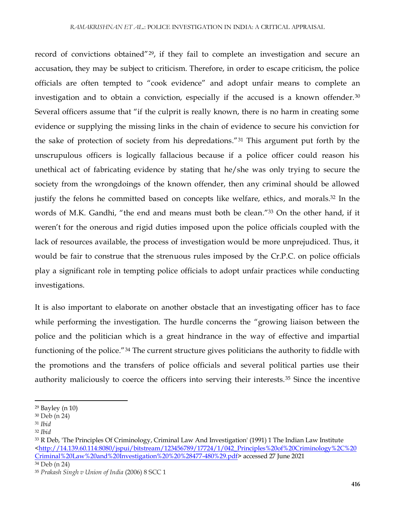record of convictions obtained"29, if they fail to complete an investigation and secure an accusation, they may be subject to criticism. Therefore, in order to escape criticism, the police officials are often tempted to "cook evidence" and adopt unfair means to complete an investigation and to obtain a conviction, especially if the accused is a known offender.<sup>30</sup> Several officers assume that "if the culprit is really known, there is no harm in creating some evidence or supplying the missing links in the chain of evidence to secure his conviction for the sake of protection of society from his depredations."<sup>31</sup> This argument put forth by the unscrupulous officers is logically fallacious because if a police officer could reason his unethical act of fabricating evidence by stating that he/she was only trying to secure the society from the wrongdoings of the known offender, then any criminal should be allowed justify the felons he committed based on concepts like welfare, ethics, and morals.<sup>32</sup> In the words of M.K. Gandhi, "the end and means must both be clean."<sup>33</sup> On the other hand, if it weren't for the onerous and rigid duties imposed upon the police officials coupled with the lack of resources available, the process of investigation would be more unprejudiced. Thus, it would be fair to construe that the strenuous rules imposed by the Cr.P.C. on police officials play a significant role in tempting police officials to adopt unfair practices while conducting investigations.

It is also important to elaborate on another obstacle that an investigating officer has to face while performing the investigation. The hurdle concerns the "growing liaison between the police and the politician which is a great hindrance in the way of effective and impartial functioning of the police."<sup>34</sup> The current structure gives politicians the authority to fiddle with the promotions and the transfers of police officials and several political parties use their authority maliciously to coerce the officers into serving their interests.<sup>35</sup> Since the incentive

 $\overline{\phantom{a}}$ <sup>29</sup> Bayley (n 10)

<sup>30</sup> Deb (n 24)

<sup>31</sup> *Ibid*

<sup>32</sup> *Ibid*

<sup>&</sup>lt;sup>33</sup> R Deb, 'The Principles Of Criminology, Criminal Law And Investigation' (1991) 1 The Indian Law Institute [<http://14.139.60.114:8080/jspui/bitstream/123456789/17724/1/042\\_Principles%20of%20Criminology%2C%20](http://14.139.60.114:8080/jspui/bitstream/123456789/17724/1/042_Principles%20of%20Criminology%2C%20Criminal%20Law%20and%20Investigation%20%20%28477-480%29.pdf) [Criminal%20Law%20and%20Investigation%20%20%28477-480%29.pdf>](http://14.139.60.114:8080/jspui/bitstream/123456789/17724/1/042_Principles%20of%20Criminology%2C%20Criminal%20Law%20and%20Investigation%20%20%28477-480%29.pdf) accessed 27 June 2021

<sup>34</sup> Deb (n 24)

<sup>35</sup> *Prakash Singh v Union of India* (2006) 8 SCC 1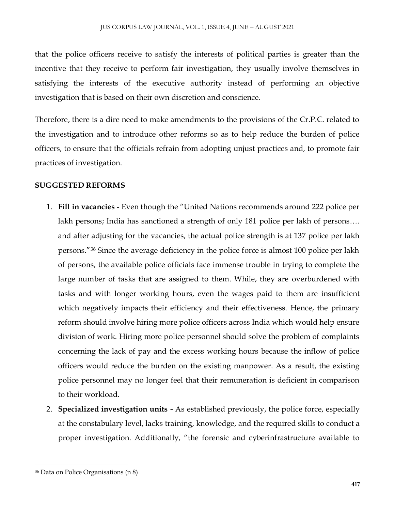that the police officers receive to satisfy the interests of political parties is greater than the incentive that they receive to perform fair investigation, they usually involve themselves in satisfying the interests of the executive authority instead of performing an objective investigation that is based on their own discretion and conscience.

Therefore, there is a dire need to make amendments to the provisions of the Cr.P.C. related to the investigation and to introduce other reforms so as to help reduce the burden of police officers, to ensure that the officials refrain from adopting unjust practices and, to promote fair practices of investigation.

## **SUGGESTED REFORMS**

- 1. **Fill in vacancies -** Even though the "United Nations recommends around 222 police per lakh persons; India has sanctioned a strength of only 181 police per lakh of persons…. and after adjusting for the vacancies, the actual police strength is at 137 police per lakh persons."<sup>36</sup> Since the average deficiency in the police force is almost 100 police per lakh of persons, the available police officials face immense trouble in trying to complete the large number of tasks that are assigned to them. While, they are overburdened with tasks and with longer working hours, even the wages paid to them are insufficient which negatively impacts their efficiency and their effectiveness. Hence, the primary reform should involve hiring more police officers across India which would help ensure division of work. Hiring more police personnel should solve the problem of complaints concerning the lack of pay and the excess working hours because the inflow of police officers would reduce the burden on the existing manpower. As a result, the existing police personnel may no longer feel that their remuneration is deficient in comparison to their workload.
- 2. **Specialized investigation units -** As established previously, the police force, especially at the constabulary level, lacks training, knowledge, and the required skills to conduct a proper investigation. Additionally, "the forensic and cyberinfrastructure available to

<sup>36</sup> Data on Police Organisations (n 8)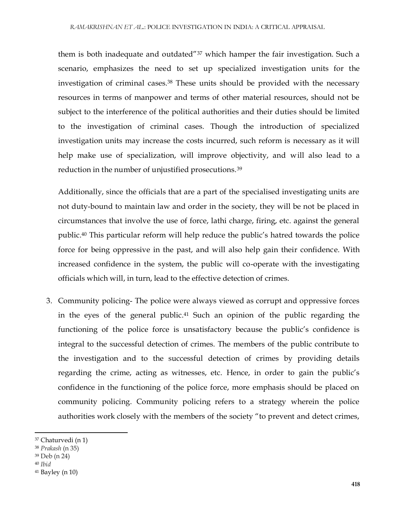them is both inadequate and outdated"<sup>37</sup> which hamper the fair investigation. Such a scenario, emphasizes the need to set up specialized investigation units for the investigation of criminal cases.<sup>38</sup> These units should be provided with the necessary resources in terms of manpower and terms of other material resources, should not be subject to the interference of the political authorities and their duties should be limited to the investigation of criminal cases. Though the introduction of specialized investigation units may increase the costs incurred, such reform is necessary as it will help make use of specialization, will improve objectivity, and will also lead to a reduction in the number of unjustified prosecutions.<sup>39</sup>

Additionally, since the officials that are a part of the specialised investigating units are not duty-bound to maintain law and order in the society, they will be not be placed in circumstances that involve the use of force, lathi charge, firing, etc. against the general public.<sup>40</sup> This particular reform will help reduce the public's hatred towards the police force for being oppressive in the past, and will also help gain their confidence. With increased confidence in the system, the public will co-operate with the investigating officials which will, in turn, lead to the effective detection of crimes.

3. Community policing- The police were always viewed as corrupt and oppressive forces in the eyes of the general public.<sup>41</sup> Such an opinion of the public regarding the functioning of the police force is unsatisfactory because the public's confidence is integral to the successful detection of crimes. The members of the public contribute to the investigation and to the successful detection of crimes by providing details regarding the crime, acting as witnesses, etc. Hence, in order to gain the public's confidence in the functioning of the police force, more emphasis should be placed on community policing. Community policing refers to a strategy wherein the police authorities work closely with the members of the society "to prevent and detect crimes,

- <sup>39</sup> Deb (n 24)
- <sup>40</sup> *Ibid*

<sup>37</sup> Chaturvedi (n 1)

<sup>38</sup> *Prakash* (n 35)

 $41$  Bayley (n 10)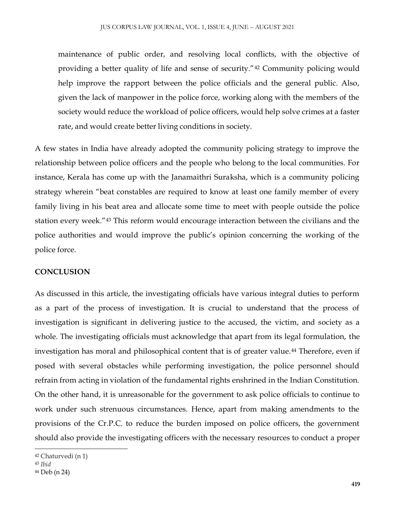maintenance of public order, and resolving local conflicts, with the objective of providing a better quality of life and sense of security."<sup>42</sup> Community policing would help improve the rapport between the police officials and the general public. Also, given the lack of manpower in the police force, working along with the members of the society would reduce the workload of police officers, would help solve crimes at a faster rate, and would create better living conditions in society.

A few states in India have already adopted the community policing strategy to improve the relationship between police officers and the people who belong to the local communities. For instance, Kerala has come up with the Janamaithri Suraksha, which is a community policing strategy wherein "beat constables are required to know at least one family member of every family living in his beat area and allocate some time to meet with people outside the police station every week."<sup>43</sup> This reform would encourage interaction between the civilians and the police authorities and would improve the public's opinion concerning the working of the police force.

#### **CONCLUSION**

As discussed in this article, the investigating officials have various integral duties to perform as a part of the process of investigation. It is crucial to understand that the process of investigation is significant in delivering justice to the accused, the victim, and society as a whole. The investigating officials must acknowledge that apart from its legal formulation, the investigation has moral and philosophical content that is of greater value.<sup>44</sup> Therefore, even if posed with several obstacles while performing investigation, the police personnel should refrain from acting in violation of the fundamental rights enshrined in the Indian Constitution. On the other hand, it is unreasonable for the government to ask police officials to continue to work under such strenuous circumstances. Hence, apart from making amendments to the provisions of the Cr.P.C. to reduce the burden imposed on police officers, the government should also provide the investigating officers with the necessary resources to conduct a proper

 $\overline{\phantom{a}}$ 

<sup>42</sup> Chaturvedi (n 1)

<sup>43</sup> *Ibid*

<sup>44</sup> Deb (n 24)